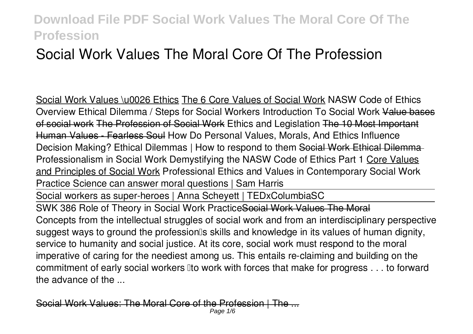# **Social Work Values The Moral Core Of The Profession**

Social Work Values \u0026 Ethics The 6 Core Values of Social Work NASW Code of Ethics Overview Ethical Dilemma / Steps for Social Workers Introduction To Social Work Value bases of social work The Profession of Social Work *Ethics and Legislation* The 10 Most Important Human Values - Fearless Soul How Do Personal Values, Morals, And Ethics Influence Decision Making? Ethical Dilemmas | How to respond to them Social Work Ethical Dilemma *Professionalism in Social Work* **Demystifying the NASW Code of Ethics Part 1** Core Values and Principles of Social Work *Professional Ethics and Values in Contemporary Social Work Practice* Science can answer moral questions | Sam Harris

Social workers as super-heroes | Anna Scheyett | TEDxColumbiaSC

SWK 386 Role of Theory in Social Work PracticeSocial Work Values The Moral Concepts from the intellectual struggles of social work and from an interdisciplinary perspective suggest ways to ground the profession<sup>®</sup>s skills and knowledge in its values of human dignity, service to humanity and social justice. At its core, social work must respond to the moral imperative of caring for the neediest among us. This entails re-claiming and building on the commitment of early social workers **lito work with forces that make for progress** . . . to forward the advance of the ...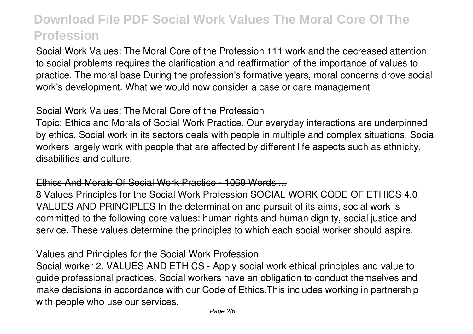Social Work Values: The Moral Core of the Profession 111 work and the decreased attention to social problems requires the clarification and reaffirmation of the importance of values to practice. The moral base During the profession's formative years, moral concerns drove social work's development. What we would now consider a case or care management

## Social Work Values: The Moral Core of the Profession

Topic: Ethics and Morals of Social Work Practice. Our everyday interactions are underpinned by ethics. Social work in its sectors deals with people in multiple and complex situations. Social workers largely work with people that are affected by different life aspects such as ethnicity, disabilities and culture.

## Ethics And Morals Of Social Work Practice - 1068 Words ...

8 Values Principles for the Social Work Profession SOCIAL WORK CODE OF ETHICS 4.0 VALUES AND PRINCIPLES In the determination and pursuit of its aims, social work is committed to the following core values: human rights and human dignity, social justice and service. These values determine the principles to which each social worker should aspire.

## Values and Principles for the Social Work Profession

Social worker 2. VALUES AND ETHICS - Apply social work ethical principles and value to guide professional practices. Social workers have an obligation to conduct themselves and make decisions in accordance with our Code of Ethics.This includes working in partnership with people who use our services.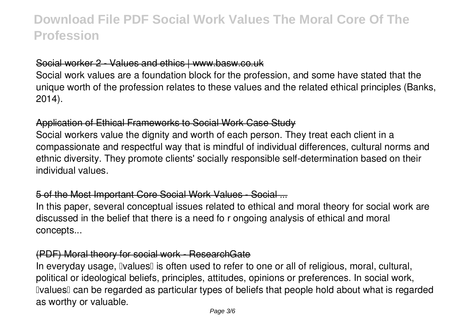### Social worker 2 - Values and ethics | www.basw.co.uk

Social work values are a foundation block for the profession, and some have stated that the unique worth of the profession relates to these values and the related ethical principles (Banks, 2014).

#### Application of Ethical Frameworks to Social Work Case Study

Social workers value the dignity and worth of each person. They treat each client in a compassionate and respectful way that is mindful of individual differences, cultural norms and ethnic diversity. They promote clients' socially responsible self-determination based on their individual values.

## 5 of the Most Important Core Social Work Values - Social ...

In this paper, several conceptual issues related to ethical and moral theory for social work are discussed in the belief that there is a need fo r ongoing analysis of ethical and moral concepts...

## (PDF) Moral theory for social work - ResearchGate

In everyday usage, Ivalues l is often used to refer to one or all of religious, moral, cultural, political or ideological beliefs, principles, attitudes, opinions or preferences. In social work, Ivalues can be regarded as particular types of beliefs that people hold about what is regarded as worthy or valuable.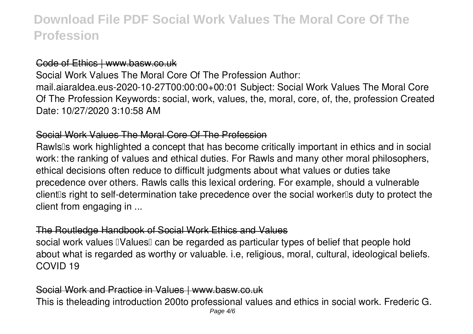#### Code of Ethics | www.basw.co.uk

Social Work Values The Moral Core Of The Profession Author: mail.aiaraldea.eus-2020-10-27T00:00:00+00:01 Subject: Social Work Values The Moral Core Of The Profession Keywords: social, work, values, the, moral, core, of, the, profession Created Date: 10/27/2020 3:10:58 AM

### Social Work Values The Moral Core Of The Profession

Rawls<sup>II</sup>s work highlighted a concept that has become critically important in ethics and in social work: the ranking of values and ethical duties. For Rawls and many other moral philosophers, ethical decisions often reduce to difficult judgments about what values or duties take precedence over others. Rawls calls this lexical ordering. For example, should a vulnerable client<sup>'</sup>s right to self-determination take precedence over the social worker's duty to protect the client from engaging in ...

## The Routledge Handbook of Social Work Ethics and Values

social work values IValues can be regarded as particular types of belief that people hold about what is regarded as worthy or valuable. i.e, religious, moral, cultural, ideological beliefs. COVID 19

#### Social Work and Practice in Values | www.basw.co.uk

This is theleading introduction 200to professional values and ethics in social work. Frederic G.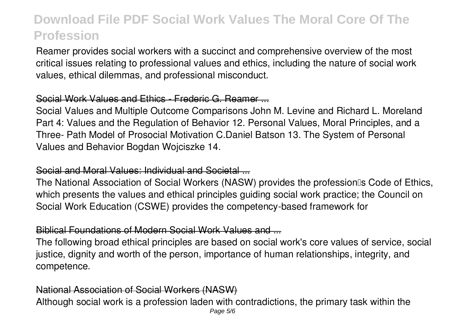Reamer provides social workers with a succinct and comprehensive overview of the most critical issues relating to professional values and ethics, including the nature of social work values, ethical dilemmas, and professional misconduct.

### Social Work Values and Ethics - Frederic G. Reamer ...

Social Values and Multiple Outcome Comparisons John M. Levine and Richard L. Moreland Part 4: Values and the Regulation of Behavior 12. Personal Values, Moral Principles, and a Three- Path Model of Prosocial Motivation C.Daniel Batson 13. The System of Personal Values and Behavior Bogdan Wojciszke 14.

### Social and Moral Values: Individual and Societal

The National Association of Social Workers (NASW) provides the profession<sup>®</sup>s Code of Ethics, which presents the values and ethical principles guiding social work practice; the Council on Social Work Education (CSWE) provides the competency-based framework for

## Biblical Foundations of Modern Social Work Values and

The following broad ethical principles are based on social work's core values of service, social justice, dignity and worth of the person, importance of human relationships, integrity, and competence.

#### National Association of Social Workers (NASW)

Although social work is a profession laden with contradictions, the primary task within the Page 5/6